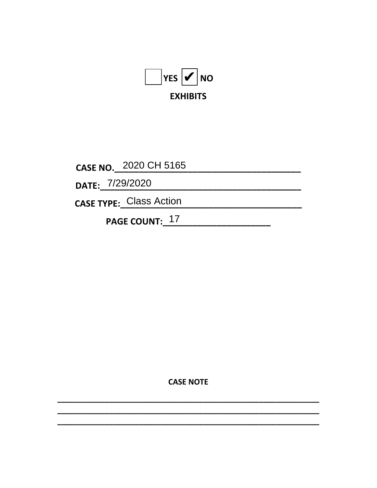

CASE NO. 2020 CH 5165

DATE: 7/29/2020

CASE TYPE: Class Action

PAGE COUNT: 17

**CASE NOTE**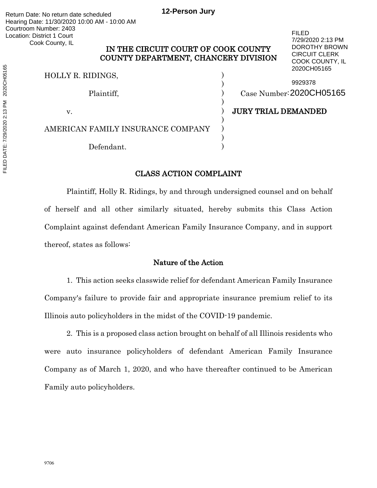# IN THE CIRCUIT COURT OF COOK COUNTY COUNTY DEPARTMENT, CHANCERY DIVISION

)

)

)

)<br>)

HOLLY R. RIDINGS, )

AMERICAN FAMILY INSURANCE COMPANY )

Defendant.

Plaintiff, (*Plaintiff, Case Number*: 2020CH05165 9929378

FILED

7/29/2020 2:13 PM DOROTHY BROWN CIRCUIT CLERK COOK COUNTY, IL 2020CH05165

v. **1988** UNIVERSITY DEMANDED

# CLASS ACTION COMPLAINT

Plaintiff, Holly R. Ridings, by and through undersigned counsel and on behalf of herself and all other similarly situated, hereby submits this Class Action Complaint against defendant American Family Insurance Company, and in support thereof, states as follows:

## Nature of the Action

1. This action seeks classwide relief for defendant American Family Insurance Company's failure to provide fair and appropriate insurance premium relief to its Illinois auto policyholders in the midst of the COVID-19 pandemic.

2. This is a proposed class action brought on behalf of all Illinois residents who were auto insurance policyholders of defendant American Family Insurance Company as of March 1, 2020, and who have thereafter continued to be American Family auto policyholders.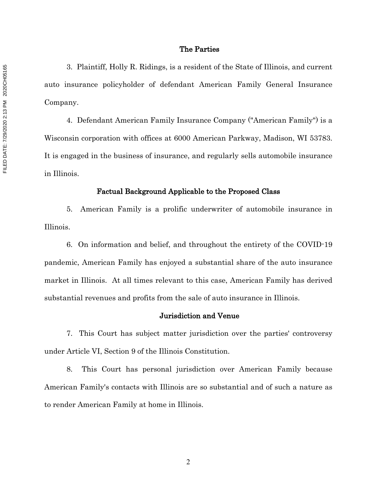#### The Parties

3. Plaintiff, Holly R. Ridings, is a resident of the State of Illinois, and current auto insurance policyholder of defendant American Family General Insurance Company.

4. Defendant American Family Insurance Company ("American Family") is a Wisconsin corporation with offices at 6000 American Parkway, Madison, WI 53783. It is engaged in the business of insurance, and regularly sells automobile insurance in Illinois.

#### Factual Background Applicable to the Proposed Class

5. American Family is a prolific underwriter of automobile insurance in Illinois.

6. On information and belief, and throughout the entirety of the COVID-19 pandemic, American Family has enjoyed a substantial share of the auto insurance market in Illinois. At all times relevant to this case, American Family has derived substantial revenues and profits from the sale of auto insurance in Illinois.

### Jurisdiction and Venue

7. This Court has subject matter jurisdiction over the parties' controversy under Article VI, Section 9 of the Illinois Constitution.

8. This Court has personal jurisdiction over American Family because American Family's contacts with Illinois are so substantial and of such a nature as to render American Family at home in Illinois.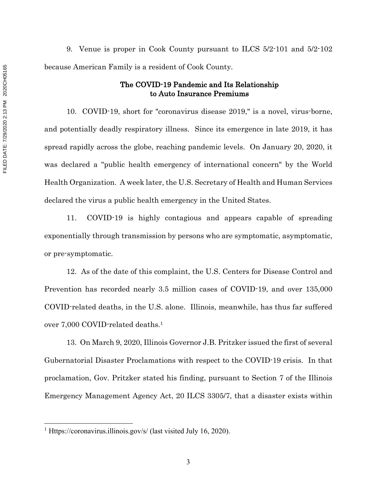9. Venue is proper in Cook County pursuant to ILCS 5/2-101 and 5/2-102 because American Family is a resident of Cook County.

## The COVID-19 Pandemic and Its Relationship to Auto Insurance Premiums

10. COVID-19, short for "coronavirus disease 2019," is a novel, virus-borne, and potentially deadly respiratory illness. Since its emergence in late 2019, it has spread rapidly across the globe, reaching pandemic levels. On January 20, 2020, it was declared a "public health emergency of international concern" by the World Health Organization. A week later, the U.S. Secretary of Health and Human Services declared the virus a public health emergency in the United States.

11. COVID-19 is highly contagious and appears capable of spreading exponentially through transmission by persons who are symptomatic, asymptomatic, or pre-symptomatic.

12. As of the date of this complaint, the U.S. Centers for Disease Control and Prevention has recorded nearly 3.5 million cases of COVID-19, and over 135,000 COVID-related deaths, in the U.S. alone. Illinois, meanwhile, has thus far suffered over 7,000 COVID-related deaths.1

13. On March 9, 2020, Illinois Governor J.B. Pritzker issued the first of several Gubernatorial Disaster Proclamations with respect to the COVID-19 crisis. In that proclamation, Gov. Pritzker stated his finding, pursuant to Section 7 of the Illinois Emergency Management Agency Act, 20 ILCS 3305/7, that a disaster exists within

<sup>&</sup>lt;sup>1</sup> Https://coronavirus.illinois.gov/s/ (last visited July 16, 2020).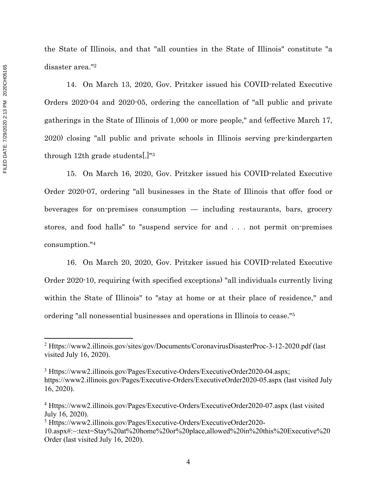the State of Illinois, and that "all counties in the State of Illinois" constitute "a disaster area."2 14. On March 13, 2020, Gov. Pritzker issued his COVID-related Executive

Orders 2020-04 and 2020-05, ordering the cancellation of "all public and private gatherings in the State of Illinois of 1,000 or more people," and (effective March 17, 2020) closing "all public and private schools in Illinois serving pre-kindergarten through 12th grade students[.]"3

15. On March 16, 2020, Gov. Pritzker issued his COVID-related Executive Order 2020-07, ordering "all businesses in the State of Illinois that offer food or beverages for on-premises consumption — including restaurants, bars, grocery stores, and food halls" to "suspend service for and . . . not permit on-premises consumption."4

16. On March 20, 2020, Gov. Pritzker issued his COVID-related Executive Order 2020-10, requiring (with specified exceptions) "all individuals currently living within the State of Illinois" to "stay at home or at their place of residence," and ordering "all nonessential businesses and operations in Illinois to cease."5

<sup>2</sup> Https://www2.illinois.gov/sites/gov/Documents/CoronavirusDisasterProc-3-12-2020.pdf (last visited July 16, 2020).

<sup>3</sup> Https://www2.illinois.gov/Pages/Executive-Orders/ExecutiveOrder2020-04.aspx; https://www2.illinois.gov/Pages/Executive-Orders/ExecutiveOrder2020-05.aspx (last visited July 16, 2020).

<sup>4</sup> Https://www2.illinois.gov/Pages/Executive-Orders/ExecutiveOrder2020-07.aspx (last visited July 16, 2020).

<sup>5</sup> Https://www2.illinois.gov/Pages/Executive-Orders/ExecutiveOrder2020-

<sup>10.</sup>aspx#:~:text=Stay%20at%20home%20or%20place,allowed%20in%20this%20Executive%20 Order (last visited July 16, 2020).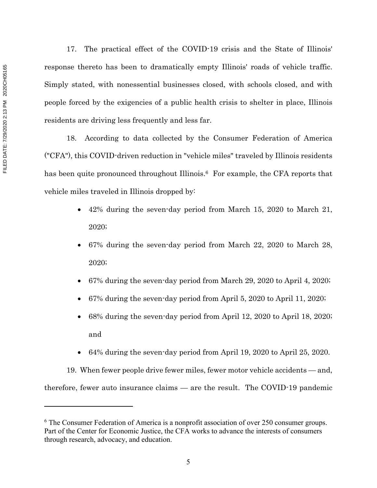17. The practical effect of the COVID-19 crisis and the State of Illinois' response thereto has been to dramatically empty Illinois' roads of vehicle traffic. Simply stated, with nonessential businesses closed, with schools closed, and with people forced by the exigencies of a public health crisis to shelter in place, Illinois residents are driving less frequently and less far.

18. According to data collected by the Consumer Federation of America ("CFA"), this COVID-driven reduction in "vehicle miles" traveled by Illinois residents has been quite pronounced throughout Illinois.<sup>6</sup> For example, the CFA reports that vehicle miles traveled in Illinois dropped by:

- 42% during the seven-day period from March 15, 2020 to March 21, 2020;
- 67% during the seven-day period from March 22, 2020 to March 28, 2020;
- 67% during the seven-day period from March 29, 2020 to April 4, 2020;
- 67% during the seven-day period from April 5, 2020 to April 11, 2020;
- 68% during the seven-day period from April 12, 2020 to April 18, 2020; and
- 64% during the seven-day period from April 19, 2020 to April 25, 2020.

19. When fewer people drive fewer miles, fewer motor vehicle accidents — and, therefore, fewer auto insurance claims — are the result. The COVID-19 pandemic

 $6$  The Consumer Federation of America is a nonprofit association of over 250 consumer groups. Part of the Center for Economic Justice, the CFA works to advance the interests of consumers through research, advocacy, and education.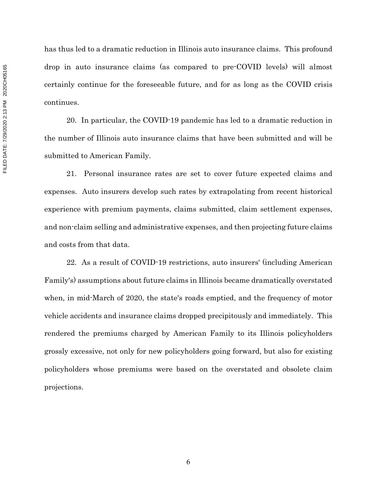has thus led to a dramatic reduction in Illinois auto insurance claims. This profound drop in auto insurance claims (as compared to pre-COVID levels) will almost certainly continue for the foreseeable future, and for as long as the COVID crisis continues.

20. In particular, the COVID-19 pandemic has led to a dramatic reduction in the number of Illinois auto insurance claims that have been submitted and will be submitted to American Family.

21. Personal insurance rates are set to cover future expected claims and expenses. Auto insurers develop such rates by extrapolating from recent historical experience with premium payments, claims submitted, claim settlement expenses, and non-claim selling and administrative expenses, and then projecting future claims and costs from that data.

22. As a result of COVID-19 restrictions, auto insurers' (including American Family's) assumptions about future claims in Illinois became dramatically overstated when, in mid-March of 2020, the state's roads emptied, and the frequency of motor vehicle accidents and insurance claims dropped precipitously and immediately. This rendered the premiums charged by American Family to its Illinois policyholders grossly excessive, not only for new policyholders going forward, but also for existing policyholders whose premiums were based on the overstated and obsolete claim projections.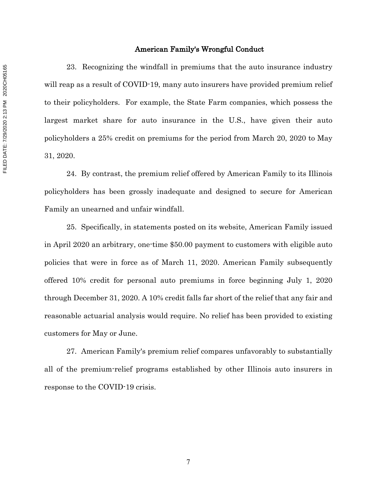#### American Family's Wrongful Conduct

23. Recognizing the windfall in premiums that the auto insurance industry will reap as a result of COVID-19, many auto insurers have provided premium relief to their policyholders. For example, the State Farm companies, which possess the largest market share for auto insurance in the U.S., have given their auto policyholders a 25% credit on premiums for the period from March 20, 2020 to May 31, 2020.

24. By contrast, the premium relief offered by American Family to its Illinois policyholders has been grossly inadequate and designed to secure for American Family an unearned and unfair windfall.

25. Specifically, in statements posted on its website, American Family issued in April 2020 an arbitrary, one-time \$50.00 payment to customers with eligible auto policies that were in force as of March 11, 2020. American Family subsequently offered 10% credit for personal auto premiums in force beginning July 1, 2020 through December 31, 2020. A 10% credit falls far short of the relief that any fair and reasonable actuarial analysis would require. No relief has been provided to existing customers for May or June.

27. American Family's premium relief compares unfavorably to substantially all of the premium-relief programs established by other Illinois auto insurers in response to the COVID-19 crisis.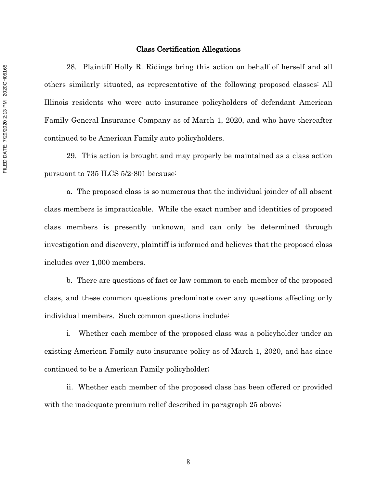#### Class Certification Allegations

28. Plaintiff Holly R. Ridings bring this action on behalf of herself and all others similarly situated, as representative of the following proposed classes: All Illinois residents who were auto insurance policyholders of defendant American Family General Insurance Company as of March 1, 2020, and who have thereafter continued to be American Family auto policyholders.

29. This action is brought and may properly be maintained as a class action pursuant to 735 ILCS 5/2-801 because:

a. The proposed class is so numerous that the individual joinder of all absent class members is impracticable. While the exact number and identities of proposed class members is presently unknown, and can only be determined through investigation and discovery, plaintiff is informed and believes that the proposed class includes over 1,000 members.

b. There are questions of fact or law common to each member of the proposed class, and these common questions predominate over any questions affecting only individual members. Such common questions include:

i. Whether each member of the proposed class was a policyholder under an existing American Family auto insurance policy as of March 1, 2020, and has since continued to be a American Family policyholder;

ii. Whether each member of the proposed class has been offered or provided with the inadequate premium relief described in paragraph 25 above;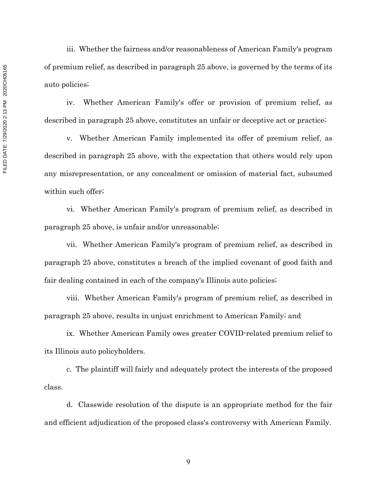iii. Whether the fairness and/or reasonableness of American Family's program of premium relief, as described in paragraph 25 above, is governed by the terms of its auto policies;

iv. Whether American Family's offer or provision of premium relief, as described in paragraph 25 above, constitutes an unfair or deceptive act or practice;

v. Whether American Family implemented its offer of premium relief, as described in paragraph 25 above, with the expectation that others would rely upon any misrepresentation, or any concealment or omission of material fact, subsumed within such offer;

vi. Whether American Family's program of premium relief, as described in paragraph 25 above, is unfair and/or unreasonable;

vii. Whether American Family's program of premium relief, as described in paragraph 25 above, constitutes a breach of the implied covenant of good faith and fair dealing contained in each of the company's Illinois auto policies;

viii. Whether American Family's program of premium relief, as described in paragraph 25 above, results in unjust enrichment to American Family; and

ix. Whether American Family owes greater COVID-related premium relief to its Illinois auto policyholders.

c. The plaintiff will fairly and adequately protect the interests of the proposed class.

d. Classwide resolution of the dispute is an appropriate method for the fair and efficient adjudication of the proposed class's controversy with American Family.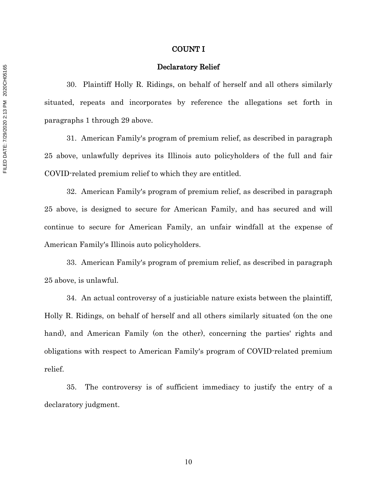#### COUNT I

#### Declaratory Relief

30. Plaintiff Holly R. Ridings, on behalf of herself and all others similarly situated, repeats and incorporates by reference the allegations set forth in paragraphs 1 through 29 above.

31. American Family's program of premium relief, as described in paragraph 25 above, unlawfully deprives its Illinois auto policyholders of the full and fair COVID-related premium relief to which they are entitled.

32. American Family's program of premium relief, as described in paragraph 25 above, is designed to secure for American Family, and has secured and will continue to secure for American Family, an unfair windfall at the expense of American Family's Illinois auto policyholders.

33. American Family's program of premium relief, as described in paragraph 25 above, is unlawful.

34. An actual controversy of a justiciable nature exists between the plaintiff, Holly R. Ridings, on behalf of herself and all others similarly situated (on the one hand), and American Family (on the other), concerning the parties' rights and obligations with respect to American Family's program of COVID-related premium relief.

35. The controversy is of sufficient immediacy to justify the entry of a declaratory judgment.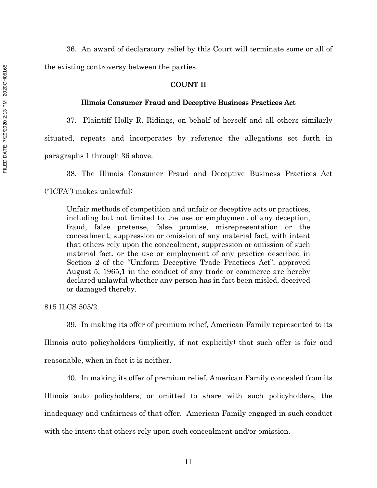36. An award of declaratory relief by this Court will terminate some or all of the existing controversy between the parties.

## COUNT II

#### Illinois Consumer Fraud and Deceptive Business Practices Act

37. Plaintiff Holly R. Ridings, on behalf of herself and all others similarly situated, repeats and incorporates by reference the allegations set forth in paragraphs 1 through 36 above.

38. The Illinois Consumer Fraud and Deceptive Business Practices Act ("ICFA") makes unlawful:

Unfair methods of competition and unfair or deceptive acts or practices, including but not limited to the use or employment of any deception, fraud, false pretense, false promise, misrepresentation or the concealment, suppression or omission of any material fact, with intent that others rely upon the concealment, suppression or omission of such material fact, or the use or employment of any practice described in Section 2 of the "Uniform Deceptive Trade Practices Act", approved August 5, 1965,1 in the conduct of any trade or commerce are hereby declared unlawful whether any person has in fact been misled, deceived or damaged thereby.

815 ILCS 505/2.

39. In making its offer of premium relief, American Family represented to its Illinois auto policyholders (implicitly, if not explicitly) that such offer is fair and reasonable, when in fact it is neither.

40. In making its offer of premium relief, American Family concealed from its

Illinois auto policyholders, or omitted to share with such policyholders, the inadequacy and unfairness of that offer. American Family engaged in such conduct with the intent that others rely upon such concealment and/or omission.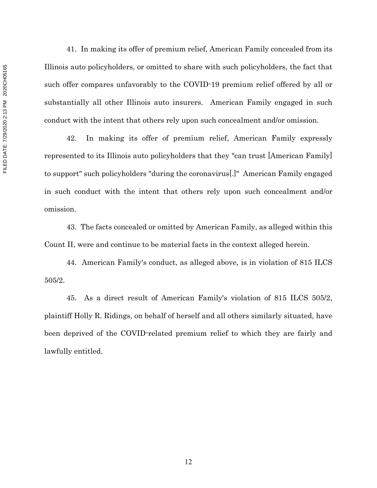FILED DATE: 7/29/2020 2:13 PM 2020CH05165 FILED DATE: 7/29/2020 2:13 PM 2020CH05165

41. In making its offer of premium relief, American Family concealed from its Illinois auto policyholders, or omitted to share with such policyholders, the fact that such offer compares unfavorably to the COVID-19 premium relief offered by all or substantially all other Illinois auto insurers. American Family engaged in such conduct with the intent that others rely upon such concealment and/or omission.

42. In making its offer of premium relief, American Family expressly represented to its Illinois auto policyholders that they "can trust [American Family] to support" such policyholders "during the coronavirus[.]" American Family engaged in such conduct with the intent that others rely upon such concealment and/or omission.

43. The facts concealed or omitted by American Family, as alleged within this Count II, were and continue to be material facts in the context alleged herein.

44. American Family's conduct, as alleged above, is in violation of 815 ILCS 505/2.

45. As a direct result of American Family's violation of 815 ILCS 505/2, plaintiff Holly R. Ridings, on behalf of herself and all others similarly situated, have been deprived of the COVID-related premium relief to which they are fairly and lawfully entitled.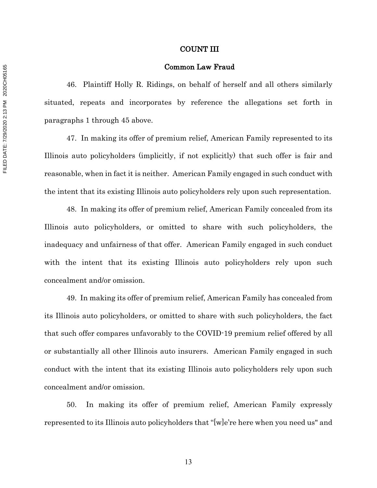#### COUNT III

#### Common Law Fraud

46. Plaintiff Holly R. Ridings, on behalf of herself and all others similarly situated, repeats and incorporates by reference the allegations set forth in paragraphs 1 through 45 above.

47. In making its offer of premium relief, American Family represented to its Illinois auto policyholders (implicitly, if not explicitly) that such offer is fair and reasonable, when in fact it is neither. American Family engaged in such conduct with the intent that its existing Illinois auto policyholders rely upon such representation.

48. In making its offer of premium relief, American Family concealed from its Illinois auto policyholders, or omitted to share with such policyholders, the inadequacy and unfairness of that offer. American Family engaged in such conduct with the intent that its existing Illinois auto policyholders rely upon such concealment and/or omission.

49. In making its offer of premium relief, American Family has concealed from its Illinois auto policyholders, or omitted to share with such policyholders, the fact that such offer compares unfavorably to the COVID-19 premium relief offered by all or substantially all other Illinois auto insurers. American Family engaged in such conduct with the intent that its existing Illinois auto policyholders rely upon such concealment and/or omission.

50. In making its offer of premium relief, American Family expressly represented to its Illinois auto policyholders that "[w]e're here when you need us" and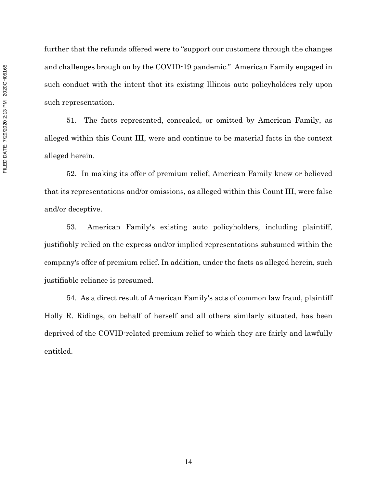further that the refunds offered were to "support our customers through the changes and challenges brough on by the COVID-19 pandemic." American Family engaged in such conduct with the intent that its existing Illinois auto policyholders rely upon such representation.

51. The facts represented, concealed, or omitted by American Family, as alleged within this Count III, were and continue to be material facts in the context alleged herein.

52. In making its offer of premium relief, American Family knew or believed that its representations and/or omissions, as alleged within this Count III, were false and/or deceptive.

53. American Family's existing auto policyholders, including plaintiff, justifiably relied on the express and/or implied representations subsumed within the company's offer of premium relief. In addition, under the facts as alleged herein, such justifiable reliance is presumed.

54. As a direct result of American Family's acts of common law fraud, plaintiff Holly R. Ridings, on behalf of herself and all others similarly situated, has been deprived of the COVID-related premium relief to which they are fairly and lawfully entitled.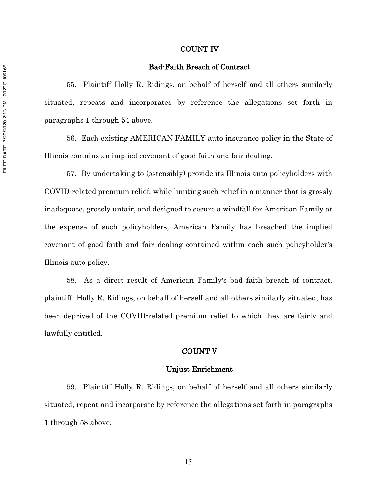#### COUNT IV

#### Bad-Faith Breach of Contract

55. Plaintiff Holly R. Ridings, on behalf of herself and all others similarly situated, repeats and incorporates by reference the allegations set forth in paragraphs 1 through 54 above.

56. Each existing AMERICAN FAMILY auto insurance policy in the State of Illinois contains an implied covenant of good faith and fair dealing.

57. By undertaking to (ostensibly) provide its Illinois auto policyholders with COVID-related premium relief, while limiting such relief in a manner that is grossly inadequate, grossly unfair, and designed to secure a windfall for American Family at the expense of such policyholders, American Family has breached the implied covenant of good faith and fair dealing contained within each such policyholder's Illinois auto policy.

58. As a direct result of American Family's bad faith breach of contract, plaintiff Holly R. Ridings, on behalf of herself and all others similarly situated, has been deprived of the COVID-related premium relief to which they are fairly and lawfully entitled.

### COUNT V

#### Unjust Enrichment

59. Plaintiff Holly R. Ridings, on behalf of herself and all others similarly situated, repeat and incorporate by reference the allegations set forth in paragraphs 1 through 58 above.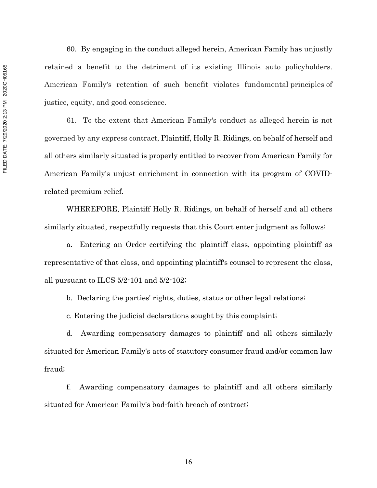60. By engaging in the conduct alleged herein, American Family has unjustly retained a benefit to the detriment of its existing Illinois auto policyholders. American Family's retention of such benefit violates fundamental principles of justice, equity, and good conscience.

61. To the extent that American Family's conduct as alleged herein is not governed by any express contract, Plaintiff, Holly R. Ridings, on behalf of herself and all others similarly situated is properly entitled to recover from American Family for American Family's unjust enrichment in connection with its program of COVIDrelated premium relief.

WHEREFORE, Plaintiff Holly R. Ridings, on behalf of herself and all others similarly situated, respectfully requests that this Court enter judgment as follows:

a. Entering an Order certifying the plaintiff class, appointing plaintiff as representative of that class, and appointing plaintiff's counsel to represent the class, all pursuant to ILCS 5/2-101 and 5/2-102;

b. Declaring the parties' rights, duties, status or other legal relations;

c. Entering the judicial declarations sought by this complaint;

d. Awarding compensatory damages to plaintiff and all others similarly situated for American Family's acts of statutory consumer fraud and/or common law fraud;

f. Awarding compensatory damages to plaintiff and all others similarly situated for American Family's bad-faith breach of contract;